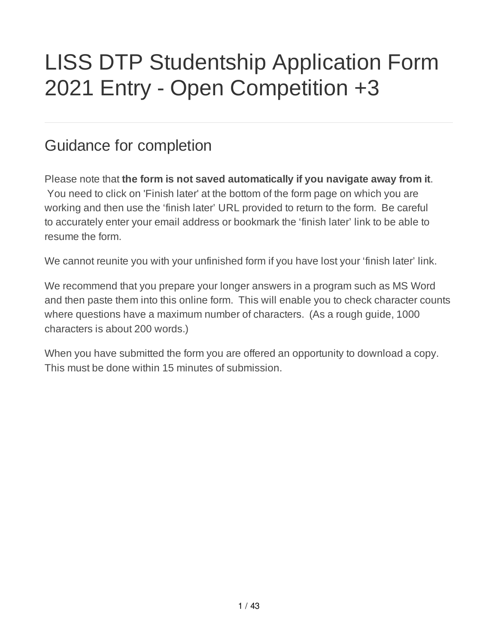# LISS DTP Studentship Application Form 2021 Entry - Open Competition +3

### Guidance for completion

Please note that **the form is not saved automatically if you navigate away from it**. You need to click on 'Finish later' at the bottom of the form page on which you are working and then use the 'finish later' URL provided to return to the form. Be careful to accurately enter your email address or bookmark the 'finish later' link to be able to resume the form.

We cannot reunite you with your unfinished form if you have lost your 'finish later' link.

We recommend that you prepare your longer answers in a program such as MS Word and then paste them into this online form. This will enable you to check character counts where questions have a maximum number of characters. (As a rough guide, 1000 characters is about 200 words.)

When you have submitted the form you are offered an opportunity to download a copy. This must be done within 15 minutes of submission.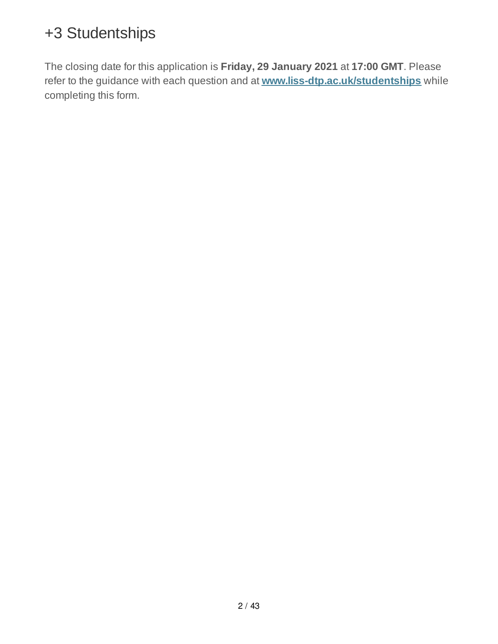### +3 Studentships

The closing date for this application is **Friday, 29 January 2021** at **17:00 GMT**. Please refer to the guidance with each question and at **www.liss-dtp.ac.uk/studentships** while completing this form.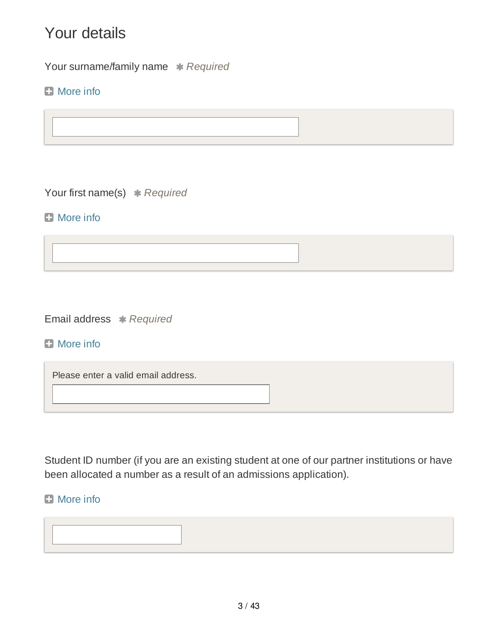### Your details

Your surname/family name \* Required

#### **D** More info

Your first name(s) \* Required

#### **D** More info

Email address *Required*

#### **D** More info

Please enter a valid email address.

Student ID number (if you are an existing student at one of our partner institutions or have been allocated a number as a result of an admissions application).

#### **D** More info

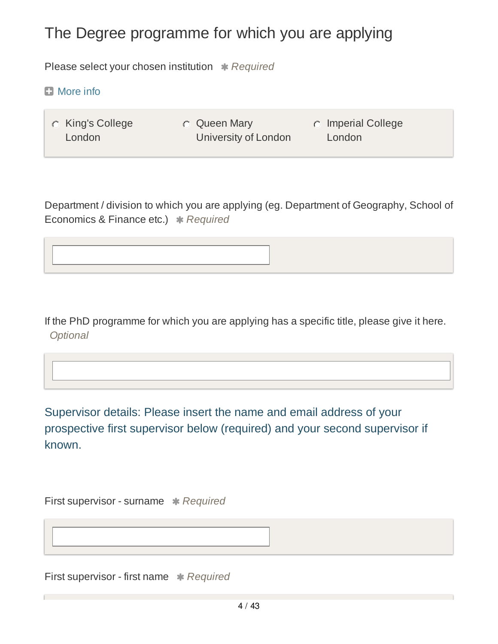# The Degree programme for which you are applying

**Please select your chosen institution \*** Required

#### **D** More info

 $\circ$  King's College London **C** Queen Mary University of London  $\circ$  Imperial College London

Department / division to which you are applying (eg. Department of Geography, School of Economics & Finance etc.) **\*** Required

If the PhD programme for which you are applying has a specific title, please give it here. *Optional*

Supervisor details: Please insert the name and email address of your prospective first supervisor below (required) and your second supervisor if known.

First supervisor - surname \* Required

First supervisor - first name *Required*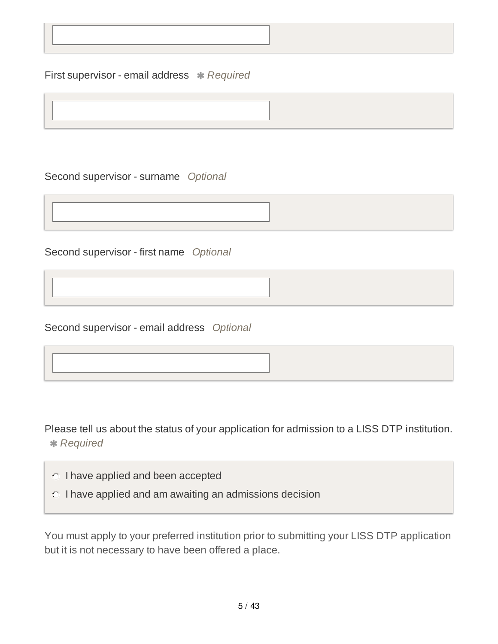First supervisor - email address *Required*

Second supervisor - surname *Optional*

Second supervisor - first name *Optional*

Second supervisor - email address *Optional*

Please tell us about the status of your application for admission to a LISS DTP institution. *Required*

- I have applied and been accepted
- $\circ$  I have applied and am awaiting an admissions decision

You must apply to your preferred institution prior to submitting your LISS DTP application but it is not necessary to have been offered a place.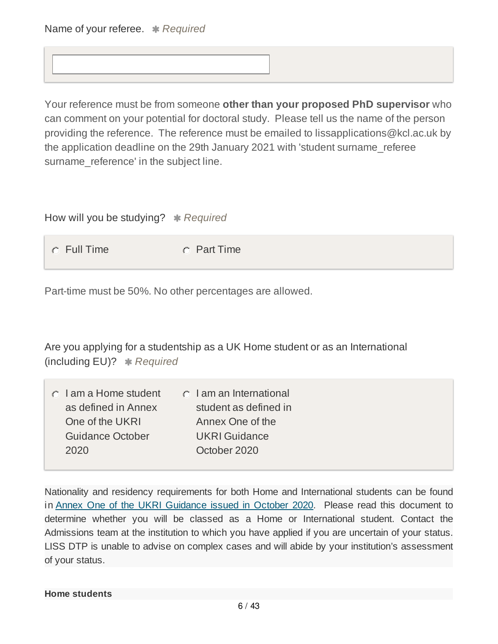Name of your referee. **\*** Required

Your reference must be from someone **other than your proposed PhD supervisor** who can comment on your potential for doctoral study. Please tell us the name of the person providing the reference. The reference must be emailed to lissapplications@kcl.ac.uk by the application deadline on the 29th January 2021 with 'student surname\_referee surname reference' in the subject line.

How will you be studying? \* Required

 $\circ$  Full Time  $\circ$  Part Time

Part-time must be 50%. No other percentages are allowed.

Are you applying for a studentship as a UK Home student or as an International (including EU)? *Required*

| $\circ$ I am a Home student | $\circ$ I am an International |
|-----------------------------|-------------------------------|
| as defined in Annex         | student as defined in         |
| One of the UKRI             | Annex One of the              |
| <b>Guidance October</b>     | <b>UKRI Guidance</b>          |
| 2020                        | October 2020                  |
|                             |                               |

Nationality and residency requirements for both Home and International students can be found in Annex One of the UKRI Guidance issued in October 2020. Please read this document to determine whether you will be classed as a Home or International student. Contact the Admissions team at the institution to which you have applied if you are uncertain of your status. LISS DTP is unable to advise on complex cases and will abide by your institution's assessment of your status.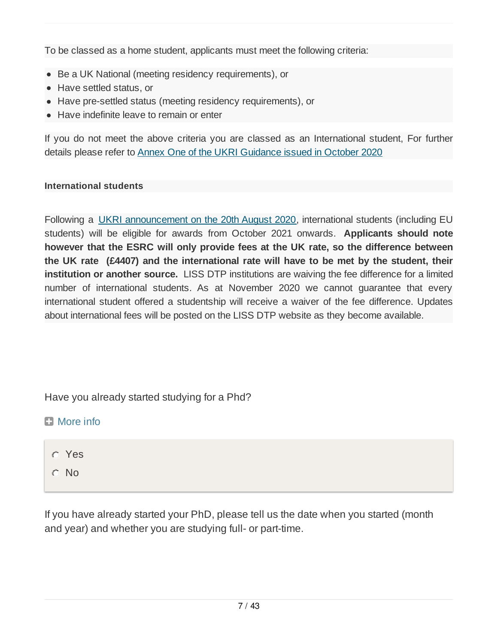To be classed as a home student, applicants must meet the following criteria:

- Be a UK National (meeting residency requirements), or
- Have settled status, or
- Have pre-settled status (meeting residency requirements), or
- Have indefinite leave to remain or enter

If you do not meet the above criteria you are classed as an International student, For further details please refer to Annex One of the UKRI Guidance issued in October 2020

#### **International students**

Following a UKRI announcement on the 20th August 2020, international students (including EU students) will be eligible for awards from October 2021 onwards. **Applicants should note however that the ESRC will only provide fees at the UK rate, so the difference between the UK rate (£4407) and the international rate will have to be met by the student, their institution or another source.** LISS DTP institutions are waiving the fee difference for a limited number of international students. As at November 2020 we cannot guarantee that every international student offered a studentship will receive a waiver of the fee difference. Updates about international fees will be posted on the LISS DTP website as they become available.

Have you already started studying for a Phd?

#### **El** More info

C No

If you have already started your PhD, please tell us the date when you started (month and year) and whether you are studying full- or part-time.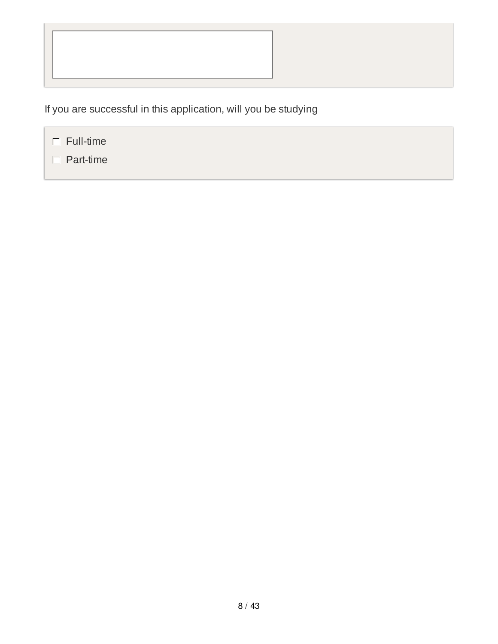

If you are successful in this application, will you be studying



 $\Box$  Part-time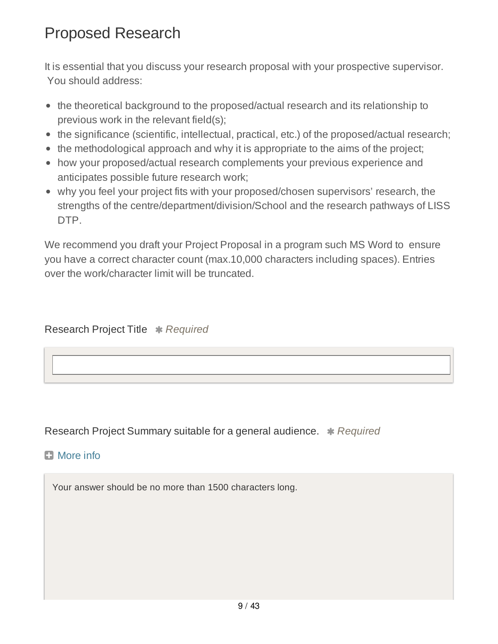### Proposed Research

It is essential that you discuss your research proposal with your prospective supervisor. You should address:

- the theoretical background to the proposed/actual research and its relationship to previous work in the relevant field(s);
- the significance (scientific, intellectual, practical, etc.) of the proposed/actual research;
- the methodological approach and why it is appropriate to the aims of the project;
- how your proposed/actual research complements your previous experience and anticipates possible future research work;
- why you feel your project fits with your proposed/chosen supervisors' research, the strengths of the centre/department/division/School and the research pathways of LISS DTP.

We recommend you draft your Project Proposal in a program such MS Word to ensure you have a correct character count (max.10,000 characters including spaces). Entries over the work/character limit will be truncated.

Research Project Title *Required*

Research Project Summary suitable for a general audience. \* Required

#### **El** More info

Your answer should be no more than 1500 characters long.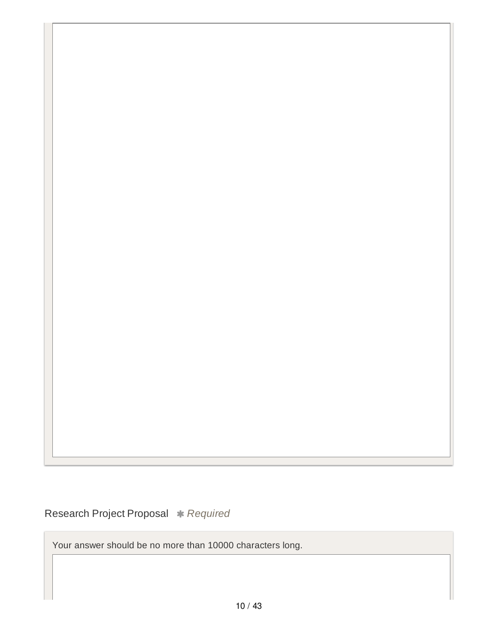Research Project Proposal *Required*

Your answer should be no more than 10000 characters long.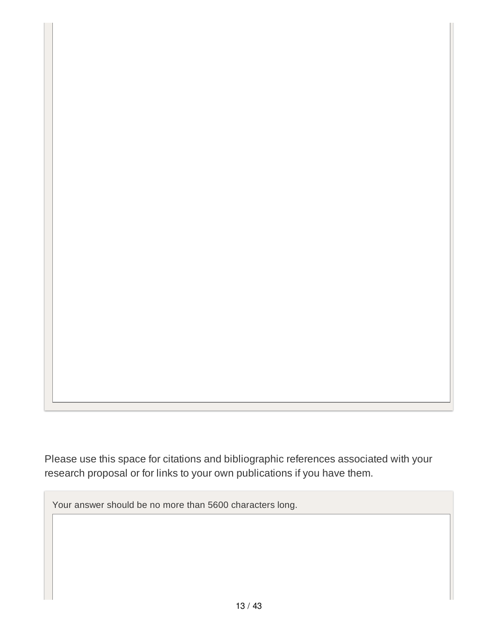Please use this space for citations and bibliographic references associated with your research proposal or for links to your own publications if you have them.

Your answer should be no more than 5600 characters long.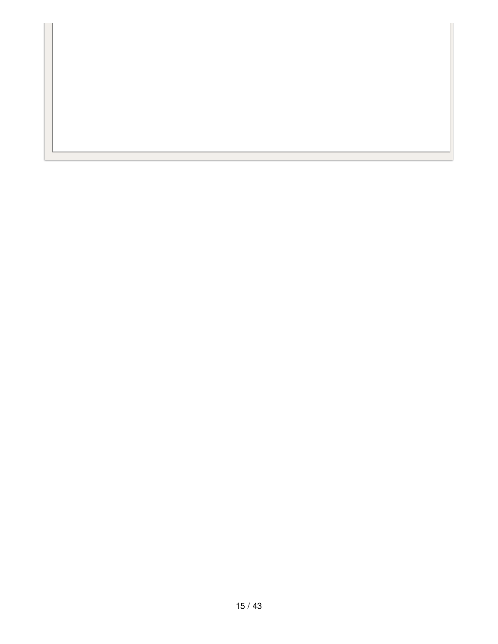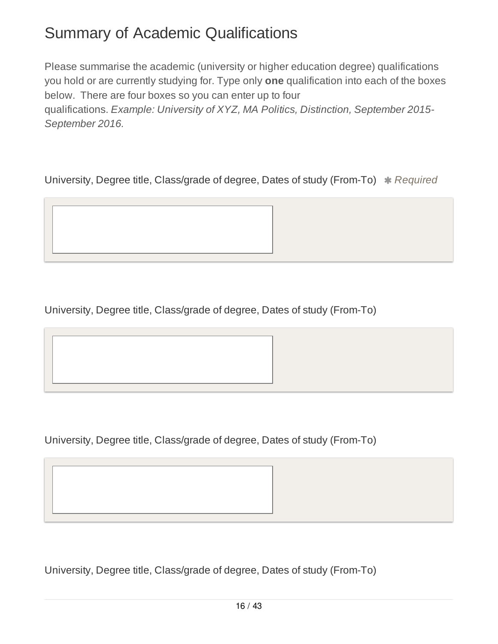### Summary of Academic Qualifications

Please summarise the academic (university or higher education degree) qualifications you hold or are currently studying for. Type only **one** qualification into each of the boxes below. There are four boxes so you can enter up to four qualifications. *Example: University of XYZ, MA Politics, Distinction, September 2015- September 2016.*

University, Degree title, Class/grade of degree, Dates of study (From-To) \* Required

University, Degree title, Class/grade of degree, Dates of study (From-To)

University, Degree title, Class/grade of degree, Dates of study (From-To)

University, Degree title, Class/grade of degree, Dates of study (From-To)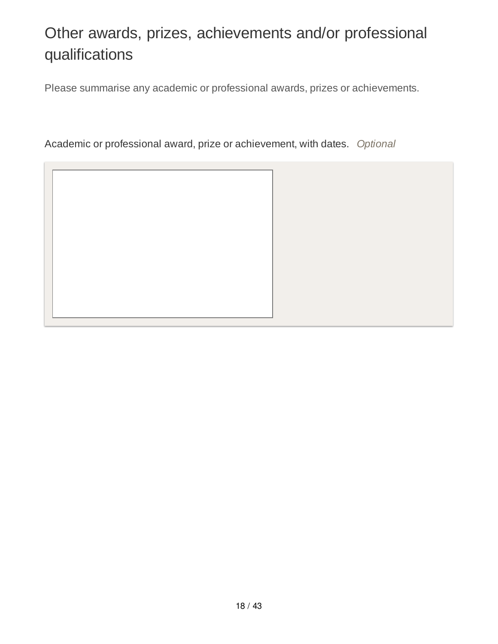# Other awards, prizes, achievements and/or professional qualifications

Please summarise any academic or professional awards, prizes or achievements.

Academic or professional award, prize or achievement, with dates. *Optional*

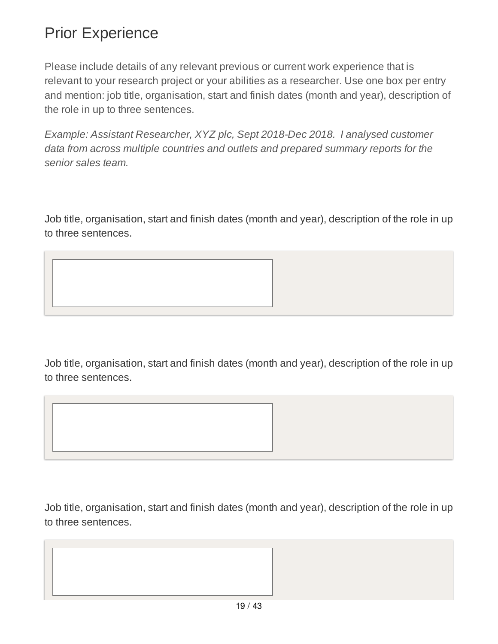### Prior Experience

Please include details of any relevant previous or current work experience that is relevant to your research project or your abilities as a researcher. Use one box per entry and mention: job title, organisation, start and finish dates (month and year), description of the role in up to three sentences.

*Example: Assistant Researcher, XYZ plc, Sept 2018-Dec 2018. I analysed customer data from across multiple countries and outlets and prepared summary reports for the senior sales team.*

Job title, organisation, start and finish dates (month and year), description of the role in up to three sentences.

Job title, organisation, start and finish dates (month and year), description of the role in up to three sentences.

Job title, organisation, start and finish dates (month and year), description of the role in up to three sentences.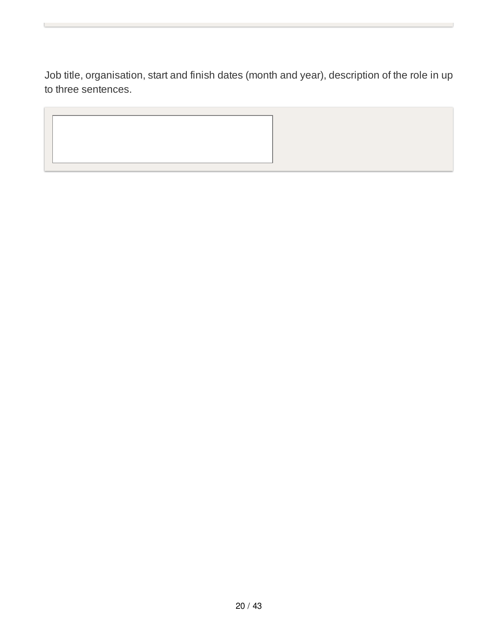Job title, organisation, start and finish dates (month and year), description of the role in up to three sentences.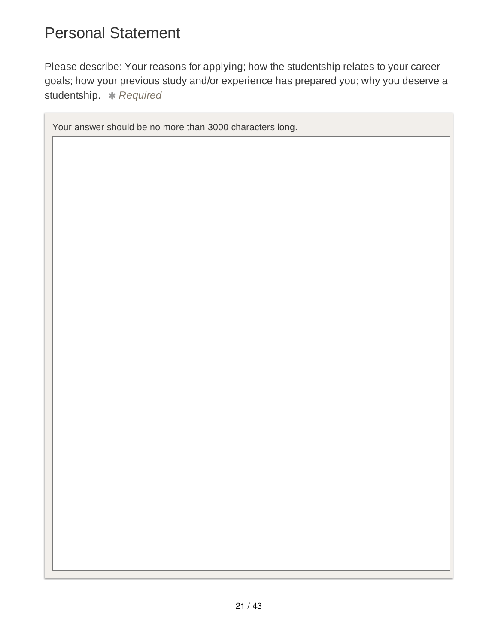#### Personal Statement

Please describe: Your reasons for applying; how the studentship relates to your career goals; how your previous study and/or experience has prepared you; why you deserve a studentship. **\*** Required

Your answer should be no more than 3000 characters long.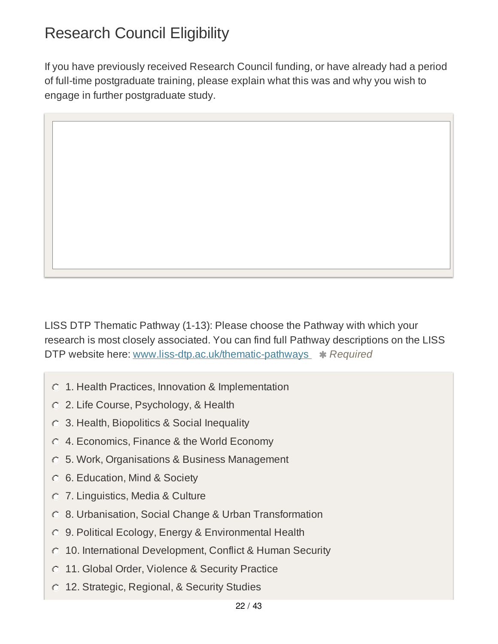### Research Council Eligibility

If you have previously received Research Council funding, or have already had a period of full-time postgraduate training, please explain what this was and why you wish to engage in further postgraduate study.

LISS DTP Thematic Pathway (1-13): Please choose the Pathway with which your research is most closely associated. You can find full Pathway descriptions on the LISS DTP website here: www.liss-dtp.ac.uk/thematic-pathways \* Required

- 1. Health Practices, Innovation & Implementation
- 2. Life Course, Psychology, & Health
- **C** 3. Health, Biopolitics & Social Inequality
- $\circ$  4. Economics, Finance & the World Economy
- 5. Work, Organisations & Business Management
- 6. Education, Mind & Society
- 7. Linguistics, Media & Culture
- 8. Urbanisation, Social Change & Urban Transformation
- 9. Political Ecology, Energy & Environmental Health
- 10. International Development, Conflict & Human Security
- 11. Global Order, Violence & Security Practice
- 12. Strategic, Regional, & Security Studies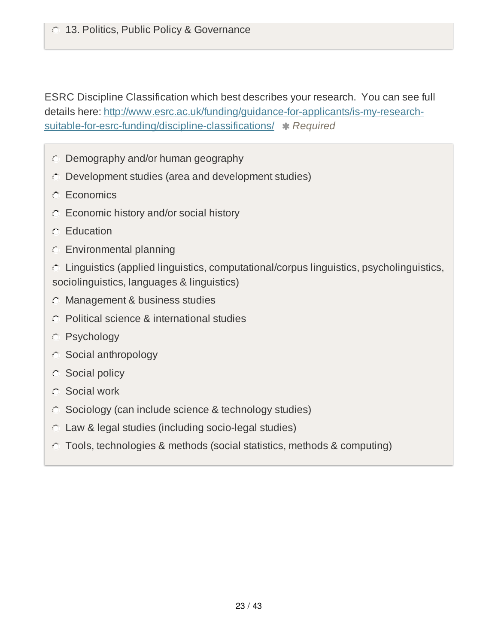ESRC Discipline Classification which best describes your research. You can see full details here: http://www.esrc.ac.uk/funding/guidance-for-applicants/is-my-researchsuitable-for-esrc-funding/discipline-classifications/ **\*** Required

- $\circ$  Demography and/or human geography
- $\circ$  Development studies (area and development studies)
- **C** Economics
- Economic history and/or social history
- **C** Education
- $\circ$  Environmental planning
- Linguistics (applied linguistics, computational/corpus linguistics, psycholinguistics, sociolinguistics, languages & linguistics)
- $\circ$  Management & business studies
- Political science & international studies
- Psychology
- Social anthropology
- $\circ$  Social policy
- C Social work
- $\circ$  Sociology (can include science & technology studies)
- Law & legal studies (including socio-legal studies)
- Tools, technologies & methods (social statistics, methods & computing)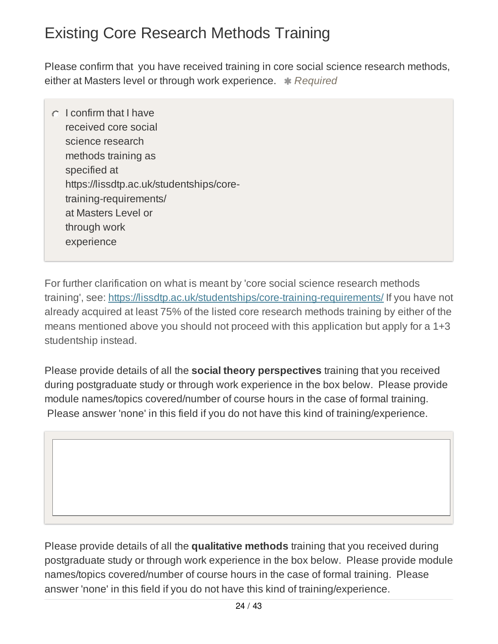# Existing Core Research Methods Training

Please confirm that you have received training in core social science research methods, either at Masters level or through work experience. \* Required

 $\circ$  I confirm that I have received core social science research methods training as specified at https://lissdtp.ac.uk/studentships/coretraining-requirements/ at Masters Level or through work experience

For further clarification on what is meant by 'core social science research methods training', see: https://lissdtp.ac.uk/studentships/core-training-requirements/ If you have not already acquired at least 75% of the listed core research methods training by either of the means mentioned above you should not proceed with this application but apply for a 1+3 studentship instead.

Please provide details of all the **social theory perspectives** training that you received during postgraduate study or through work experience in the box below. Please provide module names/topics covered/number of course hours in the case of formal training. Please answer 'none' in this field if you do not have this kind of training/experience.

Please provide details of all the **qualitative methods** training that you received during postgraduate study or through work experience in the box below. Please provide module names/topics covered/number of course hours in the case of formal training. Please answer 'none' in this field if you do not have this kind of training/experience.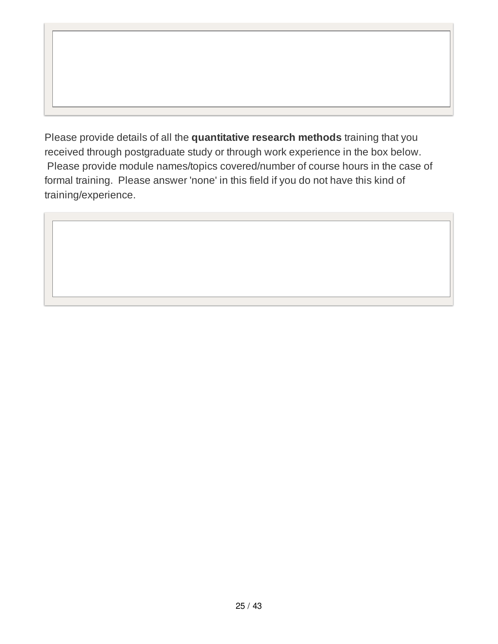Please provide details of all the **quantitative research methods** training that you received through postgraduate study or through work experience in the box below. Please provide module names/topics covered/number of course hours in the case of formal training. Please answer 'none' in this field if you do not have this kind of training/experience.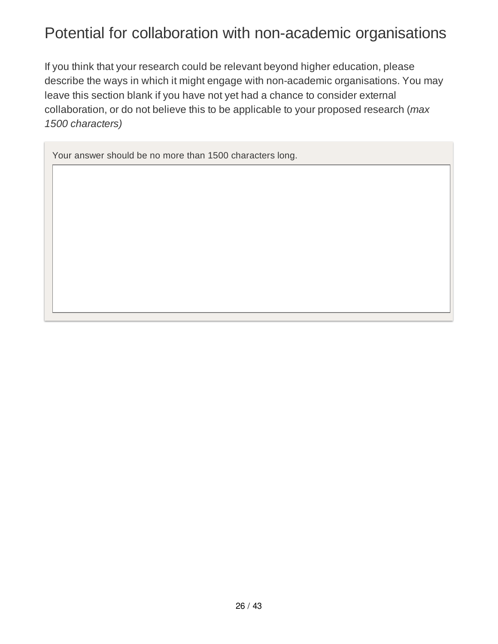### Potential for collaboration with non-academic organisations

If you think that your research could be relevant beyond higher education, please describe the ways in which it might engage with non-academic organisations. You may leave this section blank if you have not yet had a chance to consider external collaboration, or do not believe this to be applicable to your proposed research (*max 1500 characters)*

Your answer should be no more than 1500 characters long.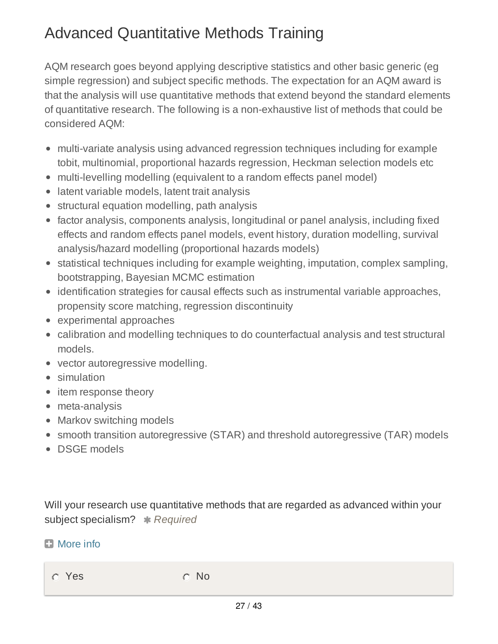# Advanced Quantitative Methods Training

AQM research goes beyond applying descriptive statistics and other basic generic (eg simple regression) and subject specific methods. The expectation for an AQM award is that the analysis will use quantitative methods that extend beyond the standard elements of quantitative research. The following is a non-exhaustive list of methods that could be considered AQM:

- multi-variate analysis using advanced regression techniques including for example tobit, multinomial, proportional hazards regression, Heckman selection models etc
- multi-levelling modelling (equivalent to a random effects panel model)
- latent variable models, latent trait analysis
- structural equation modelling, path analysis
- factor analysis, components analysis, longitudinal or panel analysis, including fixed effects and random effects panel models, event history, duration modelling, survival analysis/hazard modelling (proportional hazards models)
- statistical techniques including for example weighting, imputation, complex sampling, bootstrapping, Bayesian MCMC estimation
- identification strategies for causal effects such as instrumental variable approaches, propensity score matching, regression discontinuity
- experimental approaches
- calibration and modelling techniques to do counterfactual analysis and test structural models.
- vector autoregressive modelling.
- simulation
- item response theory
- meta-analysis
- Markov switching models
- smooth transition autoregressive (STAR) and threshold autoregressive (TAR) models
- DSGE models

Will your research use quantitative methods that are regarded as advanced within your subject specialism? \* Required

#### **El** More info

|  | n Yes |  | $\circ$ No |
|--|-------|--|------------|
|--|-------|--|------------|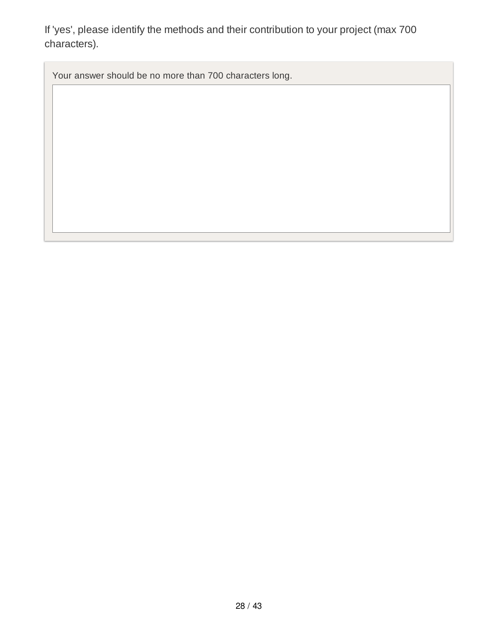If 'yes', please identify the methods and their contribution to your project (max 700 characters).

Your answer should be no more than 700 characters long.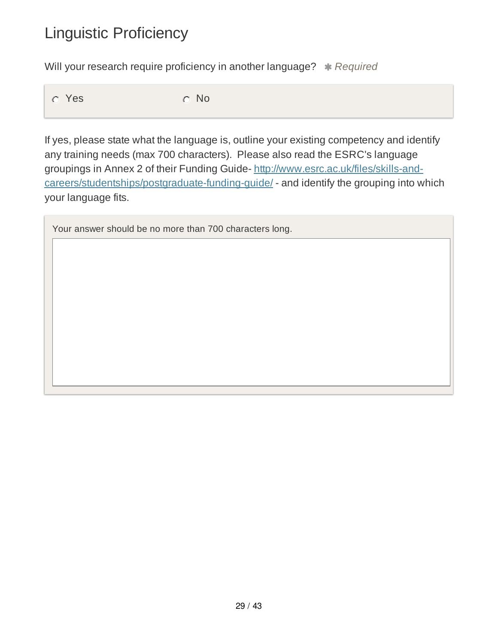### Linguistic Proficiency

Will your research require proficiency in another language? \* Required

C Yes C No

If yes, please state what the language is, outline your existing competency and identify any training needs (max 700 characters). Please also read the ESRC's language groupings in Annex 2 of their Funding Guide- http://www.esrc.ac.uk/files/skills-andcareers/studentships/postgraduate-funding-guide/ - and identify the grouping into which your language fits.

Your answer should be no more than 700 characters long.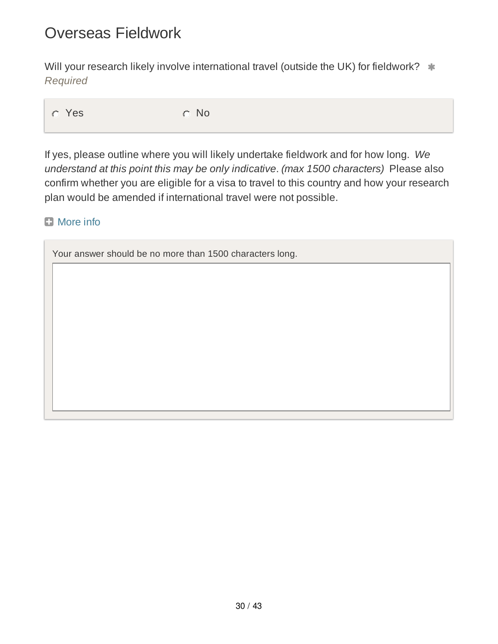#### Overseas Fieldwork

Will your research likely involve international travel (outside the UK) for fieldwork?  $*$ *Required*

C Yes C No

If yes, please outline where you will likely undertake fieldwork and for how long. *We understand at this point this may be only indicative*. *(max 1500 characters)* Please also confirm whether you are eligible for a visa to travel to this country and how your research plan would be amended if international travel were not possible.

**El** More info

Your answer should be no more than 1500 characters long.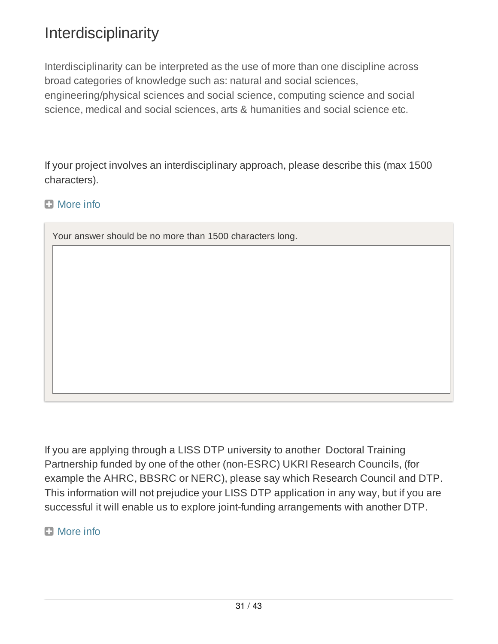### Interdisciplinarity

Interdisciplinarity can be interpreted as the use of more than one discipline across broad categories of knowledge such as: natural and social sciences, engineering/physical sciences and social science, computing science and social science, medical and social sciences, arts & humanities and social science etc.

If your project involves an interdisciplinary approach, please describe this (max 1500 characters).

**El** More info

Your answer should be no more than 1500 characters long.

If you are applying through a LISS DTP university to another Doctoral Training Partnership funded by one of the other (non-ESRC) UKRI Research Councils, (for example the AHRC, BBSRC or NERC), please say which Research Council and DTP. This information will not prejudice your LISS DTP application in any way, but if you are successful it will enable us to explore joint-funding arrangements with another DTP.

**D** More info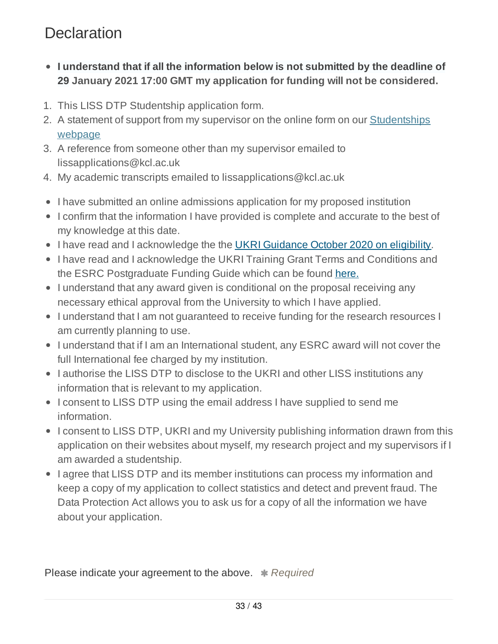### **Declaration**

- **I understand that if all the information below is not submitted by the deadline of 29 January 2021 17:00 GMT my application for funding will not be considered.**
- 1. This LISS DTP Studentship application form.
- 2. A statement of support from my supervisor on the online form on our **Studentships** webpage
- 3. A reference from someone other than my supervisor emailed to lissapplications@kcl.ac.uk
- 4. My academic transcripts emailed to lissapplications@kcl.ac.uk
- I have submitted an online admissions application for my proposed institution
- I confirm that the information I have provided is complete and accurate to the best of my knowledge at this date.
- I have read and I acknowledge the the UKRI Guidance October 2020 on eligibility.
- I have read and I acknowledge the UKRI Training Grant Terms and Conditions and the ESRC Postgraduate Funding Guide which can be found here.
- I understand that any award given is conditional on the proposal receiving any necessary ethical approval from the University to which I have applied.
- I understand that I am not guaranteed to receive funding for the research resources I am currently planning to use.
- I understand that if I am an International student, any ESRC award will not cover the full International fee charged by my institution.
- I authorise the LISS DTP to disclose to the UKRI and other LISS institutions any information that is relevant to my application.
- I consent to LISS DTP using the email address I have supplied to send me information.
- I consent to LISS DTP, UKRI and my University publishing information drawn from this application on their websites about myself, my research project and my supervisors if I am awarded a studentship.
- I agree that LISS DTP and its member institutions can process my information and keep a copy of my application to collect statistics and detect and prevent fraud. The Data Protection Act allows you to ask us for a copy of all the information we have about your application.

Please indicate your agreement to the above. \* Required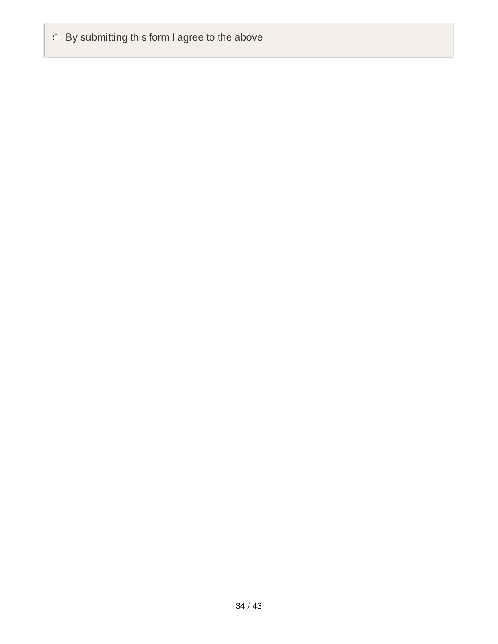#### By submitting this form I agree to the above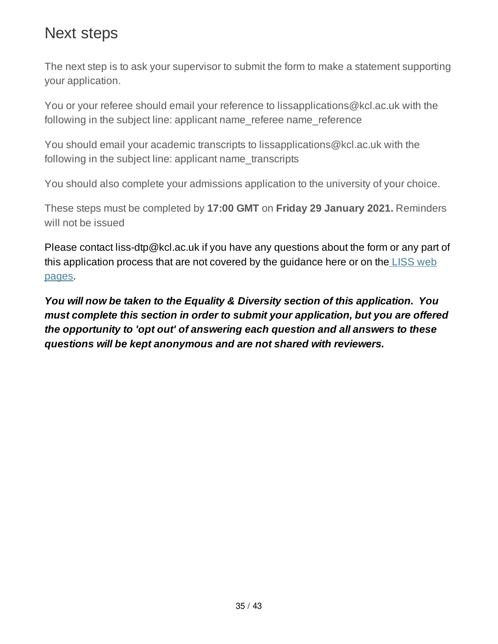#### Next steps

The next step is to ask your supervisor to submit the form to make a statement supporting your application.

You or your referee should email your reference to lissapplications@kcl.ac.uk with the following in the subject line: applicant name\_referee name\_reference

You should email your academic transcripts to lissapplications@kcl.ac.uk with the following in the subject line: applicant name\_transcripts

You should also complete your admissions application to the university of your choice.

These steps must be completed by **17:00 GMT** on **Friday 29 January 2021.** Reminders will not be issued

Please contact liss-dtp@kcl.ac.uk if you have any questions about the form or any part of this application process that are not covered by the guidance here or on the LISS web pages.

*You will now be taken to the Equality & Diversity section of this application. You must complete this section in order to submit your application, but you are offered the opportunity to 'opt out' of answering each question and all answers to these questions will be kept anonymous and are not shared with reviewers.*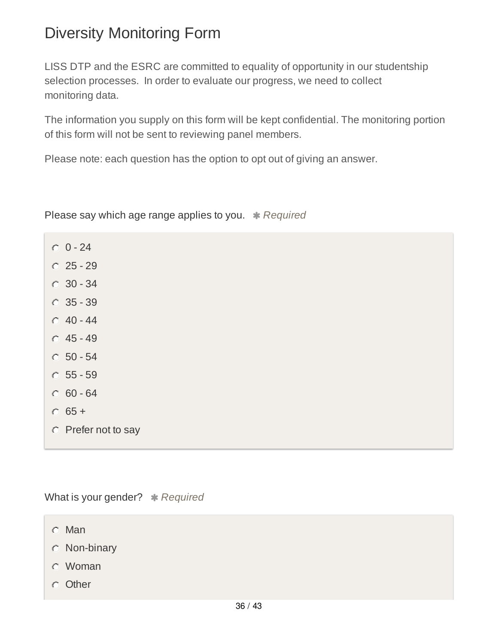### Diversity Monitoring Form

LISS DTP and the ESRC are committed to equality of opportunity in our studentship selection processes. In order to evaluate our progress, we need to collect monitoring data.

The information you supply on this form will be kept confidential. The monitoring portion of this form will not be sent to reviewing panel members.

Please note: each question has the option to opt out of giving an answer.

Please say which age range applies to you.  $*$  Required

| $\subset$ | $0 - 24$  |
|-----------|-----------|
| $\subset$ | $25 - 29$ |
| $\hat{C}$ | $30 - 34$ |
| $\subset$ | $35 - 39$ |
| $\subset$ | $40 - 44$ |
| $\hat{C}$ | 45 - 49   |
| $\subset$ | $50 - 54$ |
| $\subset$ | $55 - 59$ |
| $\subset$ | $60 - 64$ |
| $\hat{C}$ | $65 +$    |

 $\circ$  Prefer not to say

What is your gender? **\*** Required

| $\subset$ | Man |
|-----------|-----|
|           |     |

- Non-binary
- Woman
- Other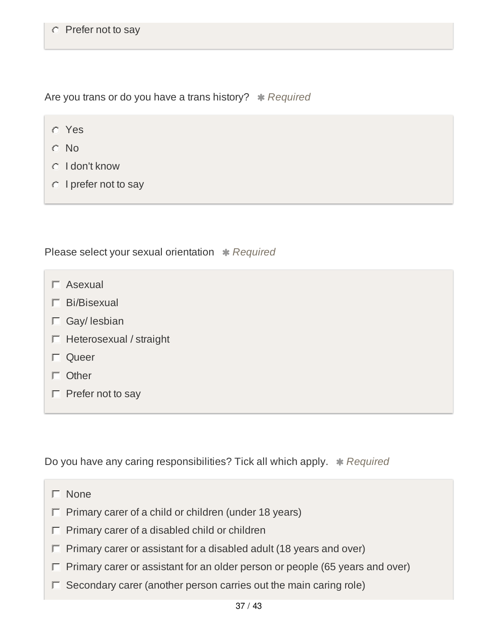Are you trans or do you have a trans history?  $*$  Required

- Yes
- C No
- I don't know
- $\circ$  I prefer not to say

Please select your sexual orientation \* Required

- $\Gamma$  Asexual
- Bi/Bisexual
- $\Box$  Gay/ lesbian
- $\Box$  Heterosexual / straight
- Queer
- Other
- $\Box$  Prefer not to say

Do you have any caring responsibilities? Tick all which apply. \* Required

- $\Gamma$  None
- $\Box$  Primary carer of a child or children (under 18 years)
- $\Box$  Primary carer of a disabled child or children
- $\Box$  Primary carer or assistant for a disabled adult (18 years and over)
- $\Box$  Primary carer or assistant for an older person or people (65 years and over)
- $\Box$  Secondary carer (another person carries out the main caring role)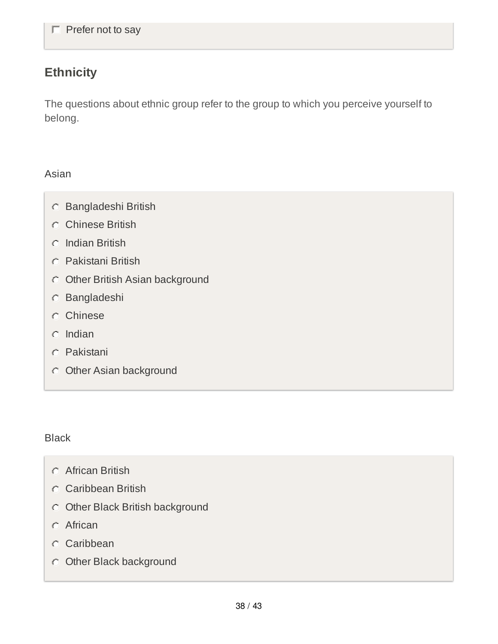#### **Ethnicity**

The questions about ethnic group refer to the group to which you perceive yourself to belong.

#### Asian

- **C** Bangladeshi British
- C Chinese British
- $\circ$  Indian British
- Pakistani British
- Other British Asian background
- **C** Bangladeshi
- C Chinese
- $O$  Indian
- Pakistani
- Other Asian background

#### **Black**

- African British
- Caribbean British
- Other Black British background
- C African
- Caribbean
- Other Black background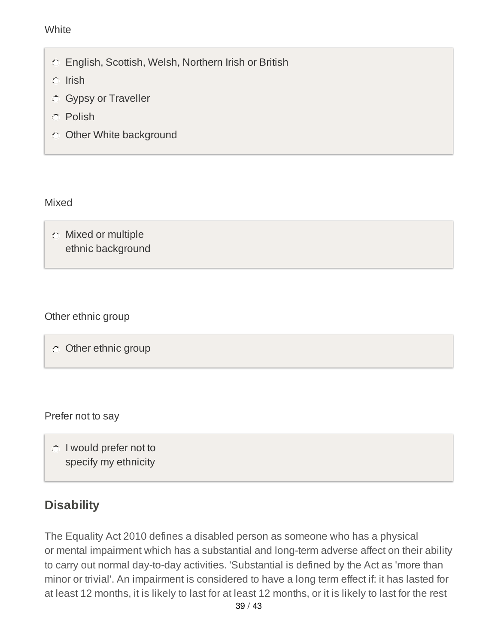**White** 

English, Scottish, Welsh, Northern Irish or British

 $C$  Irish

- Gypsy or Traveller
- Polish
- Other White background

Mixed

 $\circ$  Mixed or multiple ethnic background

Other ethnic group

 $\circ$  Other ethnic group

Prefer not to say

I would prefer not to specify my ethnicity

#### **Disability**

The Equality Act 2010 defines a disabled person as someone who has a physical or mental impairment which has a substantial and long-term adverse affect on their ability to carry out normal day-to-day activities. 'Substantial is defined by the Act as 'more than minor or trivial'. An impairment is considered to have a long term effect if: it has lasted for at least 12 months, it is likely to last for at least 12 months, or it is likely to last for the rest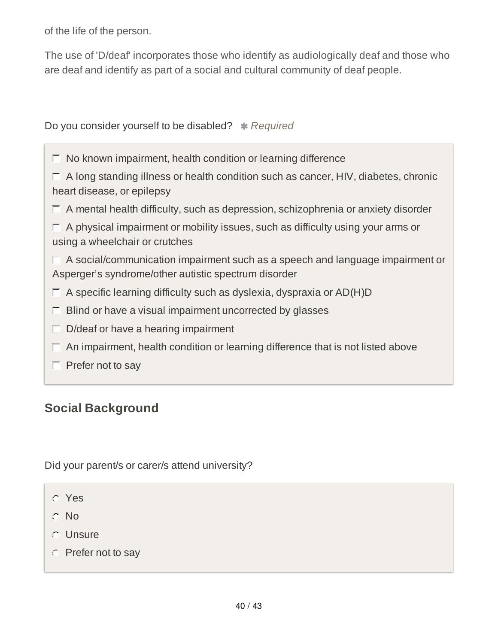of the life of the person.

The use of 'D/deaf' incorporates those who identify as audiologically deaf and those who are deaf and identify as part of a social and cultural community of deaf people.

Do you consider yourself to be disabled? \* Required

 $\Gamma$  No known impairment, health condition or learning difference

 $\Box$  A long standing illness or health condition such as cancer, HIV, diabetes, chronic heart disease, or epilepsy

 $\Box$  A mental health difficulty, such as depression, schizophrenia or anxiety disorder

 $\Box$  A physical impairment or mobility issues, such as difficulty using your arms or using a wheelchair or crutches

 $\Gamma$  A social/communication impairment such as a speech and language impairment or Asperger's syndrome/other autistic spectrum disorder

- $\Box$  A specific learning difficulty such as dyslexia, dyspraxia or AD(H)D
- $\Box$  Blind or have a visual impairment uncorrected by glasses
- $\Box$  D/deaf or have a hearing impairment
- $\Box$  An impairment, health condition or learning difference that is not listed above
- $\Box$  Prefer not to say

#### **Social Background**

Did your parent/s or carer/s attend university?

- Yes
- No
- **C** Unsure
- $\circ$  Prefer not to say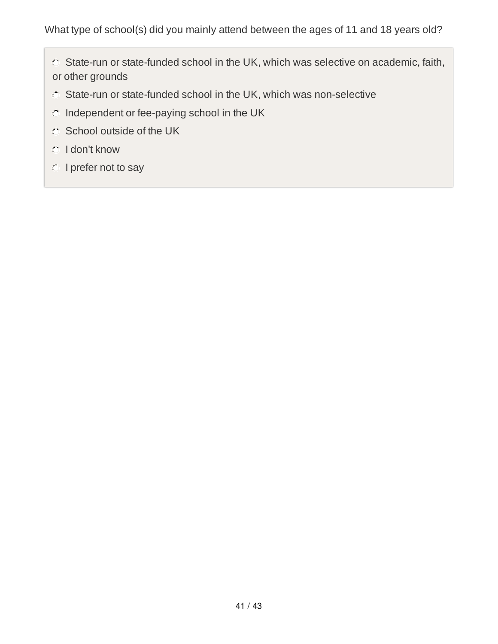#### What type of school(s) did you mainly attend between the ages of 11 and 18 years old?

- State-run or state-funded school in the UK, which was selective on academic, faith, or other grounds
- $\circ$  State-run or state-funded school in the UK, which was non-selective
- $\circ$  Independent or fee-paying school in the UK
- $C$  School outside of the UK
- I don't know
- $\circ$  I prefer not to say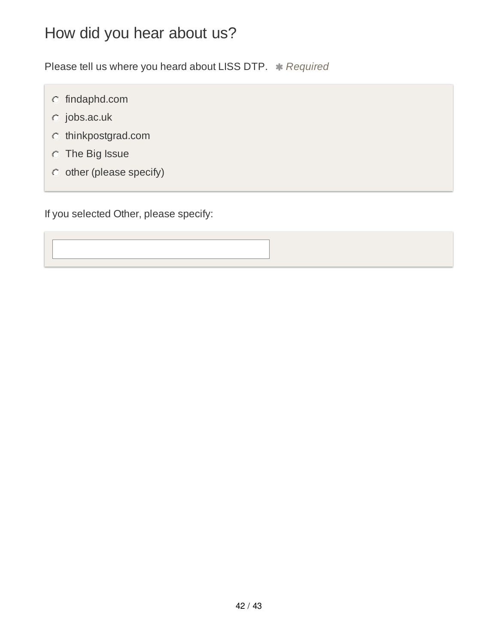# How did you hear about us?

Please tell us where you heard about LISS DTP. \* Required

- $\circ$  findaphd.com
- o jobs.ac.uk
- thinkpostgrad.com
- The Big Issue
- $\circ$  other (please specify)

If you selected Other, please specify: